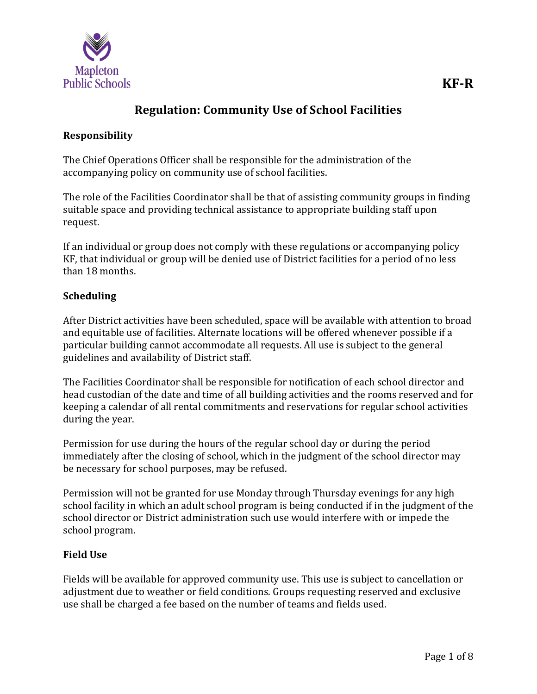

# **Regulation: Community Use of School Facilities**

### **Responsibility**

The Chief Operations Officer shall be responsible for the administration of the accompanying policy on community use of school facilities.

The role of the Facilities Coordinator shall be that of assisting community groups in finding suitable space and providing technical assistance to appropriate building staff upon request.

If an individual or group does not comply with these regulations or accompanying policy KF, that individual or group will be denied use of District facilities for a period of no less than 18 months.

### **Scheduling**

After District activities have been scheduled, space will be available with attention to broad and equitable use of facilities. Alternate locations will be offered whenever possible if a particular building cannot accommodate all requests. All use is subject to the general guidelines and availability of District staff.

The Facilities Coordinator shall be responsible for notification of each school director and head custodian of the date and time of all building activities and the rooms reserved and for keeping a calendar of all rental commitments and reservations for regular school activities during the year.

Permission for use during the hours of the regular school day or during the period immediately after the closing of school, which in the judgment of the school director may be necessary for school purposes, may be refused.

Permission will not be granted for use Monday through Thursday evenings for any high school facility in which an adult school program is being conducted if in the judgment of the school director or District administration such use would interfere with or impede the school program.

## **Field Use**

Fields will be available for approved community use. This use is subject to cancellation or adjustment due to weather or field conditions. Groups requesting reserved and exclusive use shall be charged a fee based on the number of teams and fields used.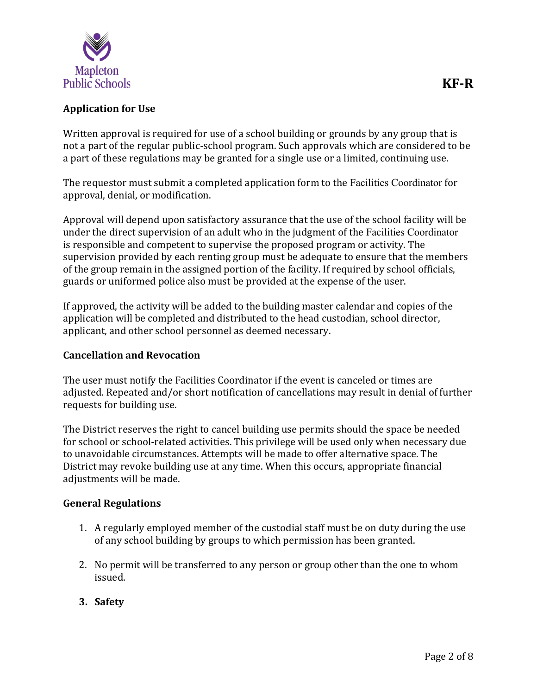

## **Application for Use**

Written approval is required for use of a school building or grounds by any group that is not a part of the regular public-school program. Such approvals which are considered to be a part of these regulations may be granted for a single use or a limited, continuing use.

The requestor must submit a completed application form to the Facilities Coordinator for approval, denial, or modification.

Approval will depend upon satisfactory assurance that the use of the school facility will be under the direct supervision of an adult who in the judgment of the Facilities Coordinator is responsible and competent to supervise the proposed program or activity. The supervision provided by each renting group must be adequate to ensure that the members of the group remain in the assigned portion of the facility. If required by school officials, guards or uniformed police also must be provided at the expense of the user.

If approved, the activity will be added to the building master calendar and copies of the application will be completed and distributed to the head custodian, school director, applicant, and other school personnel as deemed necessary.

### **Cancellation and Revocation**

The user must notify the Facilities Coordinator if the event is canceled or times are adjusted. Repeated and/or short notification of cancellations may result in denial of further requests for building use.

The District reserves the right to cancel building use permits should the space be needed for school or school-related activities. This privilege will be used only when necessary due to unavoidable circumstances. Attempts will be made to offer alternative space. The District may revoke building use at any time. When this occurs, appropriate financial adjustments will be made.

### **General Regulations**

- 1. A regularly employed member of the custodial staff must be on duty during the use of any school building by groups to which permission has been granted.
- 2. No permit will be transferred to any person or group other than the one to whom issued.
- **3. Safety**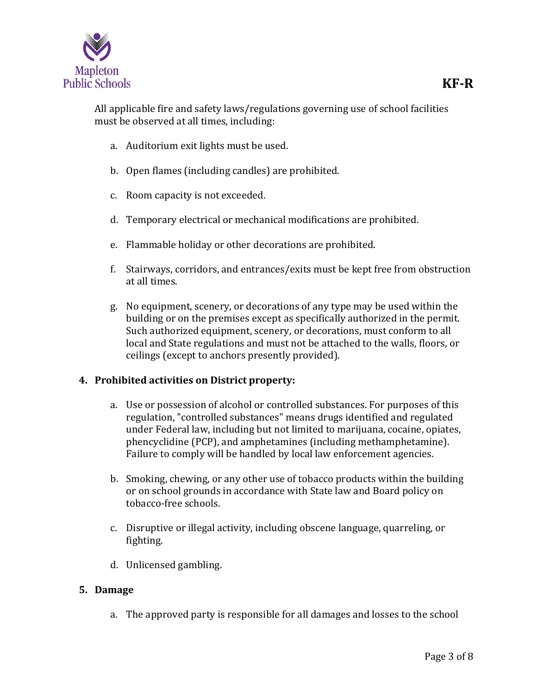

All applicable fire and safety laws/regulations governing use of school facilities must be observed at all times, including:

- a. Auditorium exit lights must be used.
- b. Open flames (including candles) are prohibited.
- c. Room capacity is not exceeded.
- d. Temporary electrical or mechanical modifications are prohibited.
- e. Flammable holiday or other decorations are prohibited.
- f. Stairways, corridors, and entrances/exits must be kept free from obstruction at all times.
- g. No equipment, scenery, or decorations of any type may be used within the building or on the premises except as specifically authorized in the permit. Such authorized equipment, scenery, or decorations, must conform to all local and State regulations and must not be attached to the walls, floors, or ceilings (except to anchors presently provided).

### **4. Prohibited activities on District property:**

- a. Use or possession of alcohol or controlled substances. For purposes of this regulation, "controlled substances" means drugs identified and regulated under Federal law, including but not limited to marijuana, cocaine, opiates, phencyclidine (PCP), and amphetamines (including methamphetamine). Failure to comply will be handled by local law enforcement agencies.
- b. Smoking, chewing, or any other use of tobacco products within the building or on school grounds in accordance with State law and Board policy on tobacco-free schools.
- c. Disruptive or illegal activity, including obscene language, quarreling, or fighting.
- d. Unlicensed gambling.

### **5. Damage**

a. The approved party is responsible for all damages and losses to the school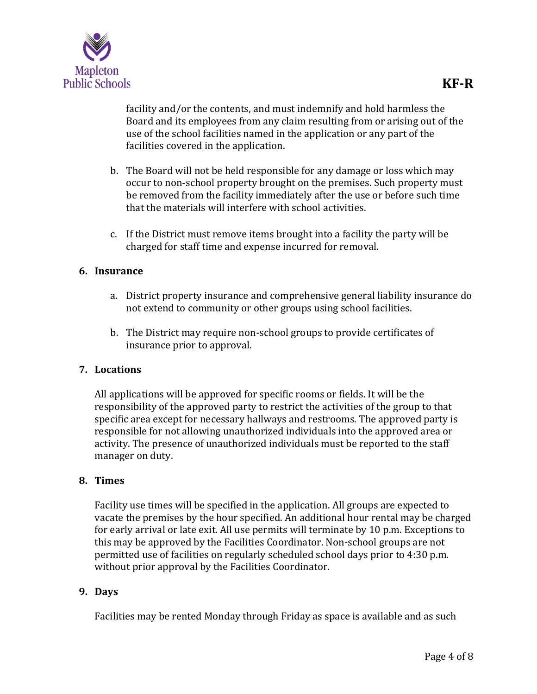

facility and/or the contents, and must indemnify and hold harmless the Board and its employees from any claim resulting from or arising out of the use of the school facilities named in the application or any part of the facilities covered in the application.

- b. The Board will not be held responsible for any damage or loss which may occur to non-school property brought on the premises. Such property must be removed from the facility immediately after the use or before such time that the materials will interfere with school activities.
- c. If the District must remove items brought into a facility the party will be charged for staff time and expense incurred for removal.

### **6. Insurance**

- a. District property insurance and comprehensive general liability insurance do not extend to community or other groups using school facilities.
- b. The District may require non-school groups to provide certificates of insurance prior to approval.

### **7. Locations**

All applications will be approved for specific rooms or fields. It will be the responsibility of the approved party to restrict the activities of the group to that specific area except for necessary hallways and restrooms. The approved party is responsible for not allowing unauthorized individuals into the approved area or activity. The presence of unauthorized individuals must be reported to the staff manager on duty.

### **8. Times**

Facility use times will be specified in the application. All groups are expected to vacate the premises by the hour specified. An additional hour rental may be charged for early arrival or late exit. All use permits will terminate by 10 p.m. Exceptions to this may be approved by the Facilities Coordinator. Non-school groups are not permitted use of facilities on regularly scheduled school days prior to 4:30 p.m. without prior approval by the Facilities Coordinator.

### **9. Days**

Facilities may be rented Monday through Friday as space is available and as such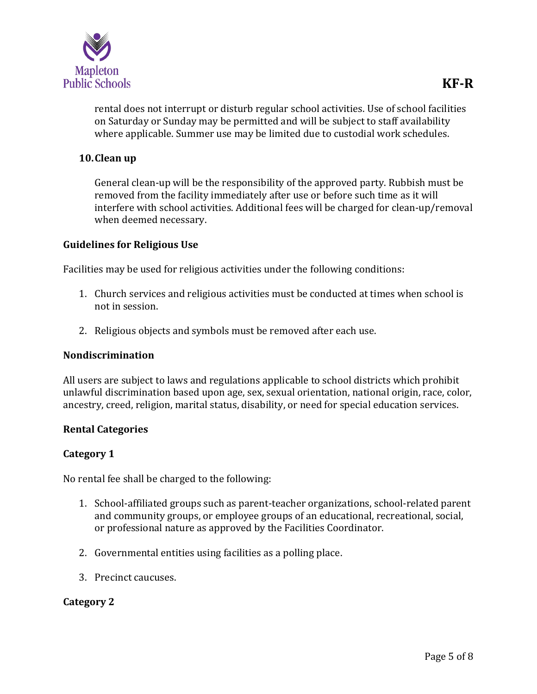

rental does not interrupt or disturb regular school activities. Use of school facilities on Saturday or Sunday may be permitted and will be subject to staff availability where applicable. Summer use may be limited due to custodial work schedules.

### **10.Clean up**

General clean-up will be the responsibility of the approved party. Rubbish must be removed from the facility immediately after use or before such time as it will interfere with school activities. Additional fees will be charged for clean-up/removal when deemed necessary.

### **Guidelines for Religious Use**

Facilities may be used for religious activities under the following conditions:

- 1. Church services and religious activities must be conducted at times when school is not in session.
- 2. Religious objects and symbols must be removed after each use.

### **Nondiscrimination**

All users are subject to laws and regulations applicable to school districts which prohibit unlawful discrimination based upon age, sex, sexual orientation, national origin, race, color, ancestry, creed, religion, marital status, disability, or need for special education services.

### **Rental Categories**

### **Category 1**

No rental fee shall be charged to the following:

- 1. School-affiliated groups such as parent-teacher organizations, school-related parent and community groups, or employee groups of an educational, recreational, social, or professional nature as approved by the Facilities Coordinator.
- 2. Governmental entities using facilities as a polling place.
- 3. Precinct caucuses.

### **Category 2**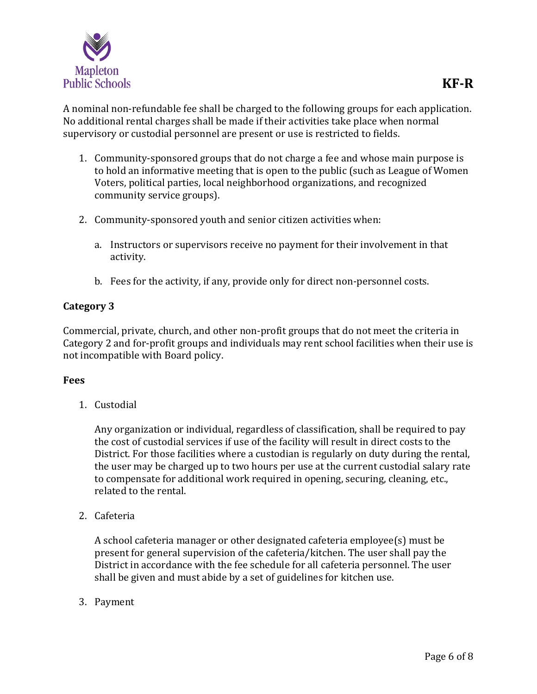

A nominal non-refundable fee shall be charged to the following groups for each application. No additional rental charges shall be made if their activities take place when normal supervisory or custodial personnel are present or use is restricted to fields.

- 1. Community-sponsored groups that do not charge a fee and whose main purpose is to hold an informative meeting that is open to the public (such as League of Women Voters, political parties, local neighborhood organizations, and recognized community service groups).
- 2. Community-sponsored youth and senior citizen activities when:
	- a. Instructors or supervisors receive no payment for their involvement in that activity.
	- b. Fees for the activity, if any, provide only for direct non-personnel costs.

### **Category 3**

Commercial, private, church, and other non-profit groups that do not meet the criteria in Category 2 and for-profit groups and individuals may rent school facilities when their use is not incompatible with Board policy.

### **Fees**

1. Custodial

Any organization or individual, regardless of classification, shall be required to pay the cost of custodial services if use of the facility will result in direct costs to the District. For those facilities where a custodian is regularly on duty during the rental, the user may be charged up to two hours per use at the current custodial salary rate to compensate for additional work required in opening, securing, cleaning, etc., related to the rental.

2. Cafeteria

A school cafeteria manager or other designated cafeteria employee(s) must be present for general supervision of the cafeteria/kitchen. The user shall pay the District in accordance with the fee schedule for all cafeteria personnel. The user shall be given and must abide by a set of guidelines for kitchen use.

3. Payment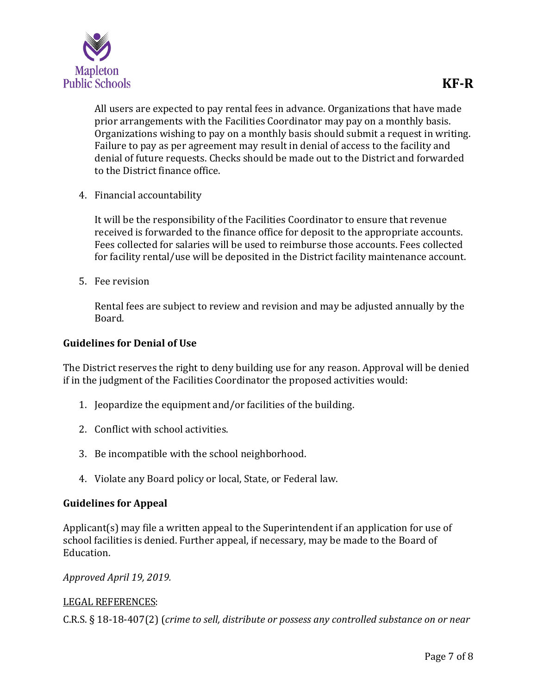

All users are expected to pay rental fees in advance. Organizations that have made prior arrangements with the Facilities Coordinator may pay on a monthly basis. Organizations wishing to pay on a monthly basis should submit a request in writing. Failure to pay as per agreement may result in denial of access to the facility and denial of future requests. Checks should be made out to the District and forwarded to the District finance office.

4. Financial accountability

It will be the responsibility of the Facilities Coordinator to ensure that revenue received is forwarded to the finance office for deposit to the appropriate accounts. Fees collected for salaries will be used to reimburse those accounts. Fees collected for facility rental/use will be deposited in the District facility maintenance account.

5. Fee revision

Rental fees are subject to review and revision and may be adjusted annually by the Board.

### **Guidelines for Denial of Use**

The District reserves the right to deny building use for any reason. Approval will be denied if in the judgment of the Facilities Coordinator the proposed activities would:

- 1. Jeopardize the equipment and/or facilities of the building.
- 2. Conflict with school activities.
- 3. Be incompatible with the school neighborhood.
- 4. Violate any Board policy or local, State, or Federal law.

### **Guidelines for Appeal**

Applicant(s) may file a written appeal to the Superintendent if an application for use of school facilities is denied. Further appeal, if necessary, may be made to the Board of Education.

#### *Approved April 19, 2019.*

### LEGAL REFERENCES:

C.R.S. § 18-18-407(2) (*crime to sell, distribute or possess any controlled substance on or near*